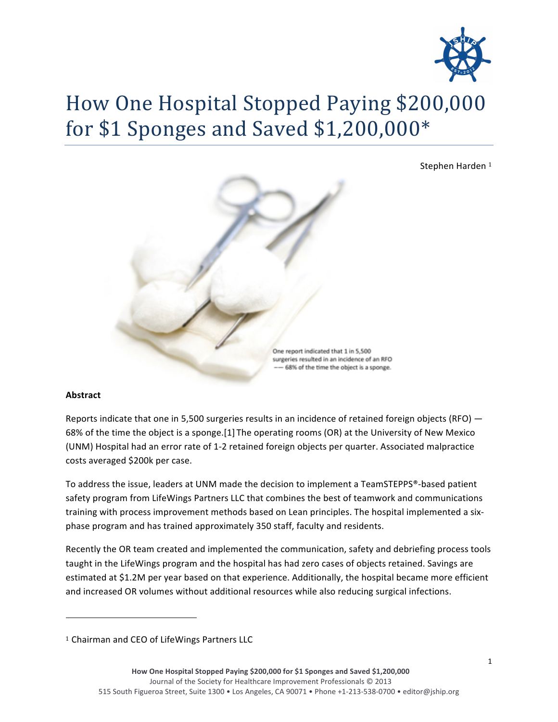

# How One Hospital Stopped Paying \$200,000 for \$1 Sponges and Saved \$1,200,000\*

Stephen Harden<sup>1</sup>



## **Abstract**

Reports indicate that one in 5,500 surgeries results in an incidence of retained foreign objects (RFO)  $-$ 68% of the time the object is a sponge.[1] The operating rooms (OR) at the University of New Mexico (UNM) Hospital had an error rate of 1-2 retained foreign objects per quarter. Associated malpractice costs averaged \$200k per case.

To address the issue, leaders at UNM made the decision to implement a TeamSTEPPS®-based patient safety program from LifeWings Partners LLC that combines the best of teamwork and communications training with process improvement methods based on Lean principles. The hospital implemented a sixphase program and has trained approximately 350 staff, faculty and residents.

Recently the OR team created and implemented the communication, safety and debriefing process tools taught in the LifeWings program and the hospital has had zero cases of objects retained. Savings are estimated at \$1.2M per year based on that experience. Additionally, the hospital became more efficient and increased OR volumes without additional resources while also reducing surgical infections.

!!!!!!!!!!!!!!!!!!!!!!!!!!!!!!!!!!!!!!!!!!!!!!!!!!!!!!!!!!!!

<sup>&</sup>lt;sup>1</sup> Chairman and CEO of LifeWings Partners LLC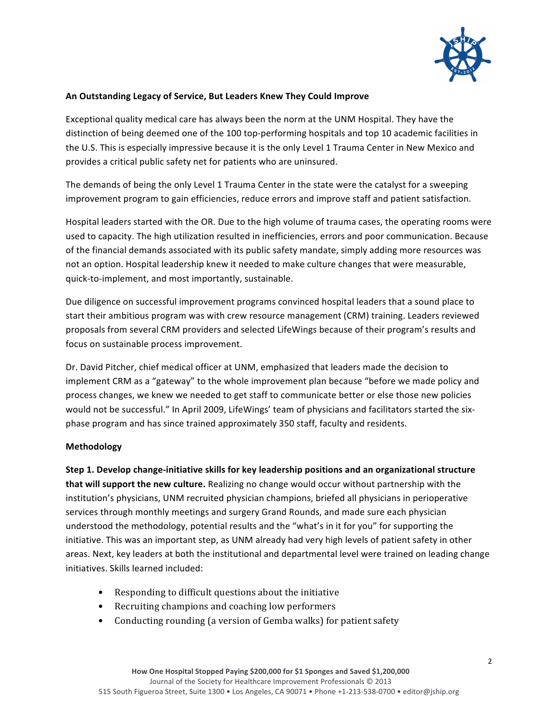

## An Outstanding Legacy of Service, But Leaders Knew They Could Improve

Exceptional quality medical care has always been the norm at the UNM Hospital. They have the distinction of being deemed one of the 100 top-performing hospitals and top 10 academic facilities in the U.S. This is especially impressive because it is the only Level 1 Trauma Center in New Mexico and provides a critical public safety net for patients who are uninsured.

The demands of being the only Level 1 Trauma Center in the state were the catalyst for a sweeping improvement program to gain efficiencies, reduce errors and improve staff and patient satisfaction.

Hospital leaders started with the OR. Due to the high volume of trauma cases, the operating rooms were used to capacity. The high utilization resulted in inefficiencies, errors and poor communication. Because of the financial demands associated with its public safety mandate, simply adding more resources was not an option. Hospital leadership knew it needed to make culture changes that were measurable, quick-to-implement, and most importantly, sustainable.

Due diligence on successful improvement programs convinced hospital leaders that a sound place to start their ambitious program was with crew resource management (CRM) training. Leaders reviewed proposals from several CRM providers and selected LifeWings because of their program's results and focus on sustainable process improvement.

Dr. David Pitcher, chief medical officer at UNM, emphasized that leaders made the decision to implement CRM as a "gateway" to the whole improvement plan because "before we made policy and process changes, we knew we needed to get staff to communicate better or else those new policies would not be successful." In April 2009, LifeWings' team of physicians and facilitators started the sixphase program and has since trained approximately 350 staff, faculty and residents.

## **Methodology**

**Step 1. Develop change-initiative skills for key leadership positions and an organizational structure that will support the new culture.** Realizing no change would occur without partnership with the institution's physicians, UNM recruited physician champions, briefed all physicians in perioperative services through monthly meetings and surgery Grand Rounds, and made sure each physician understood the methodology, potential results and the "what's in it for you" for supporting the initiative. This was an important step, as UNM already had very high levels of patient safety in other areas. Next, key leaders at both the institutional and departmental level were trained on leading change initiatives. Skills learned included:

- Responding to difficult questions about the initiative
- Recruiting champions and coaching low performers
- Conducting rounding (a version of Gemba walks) for patient safety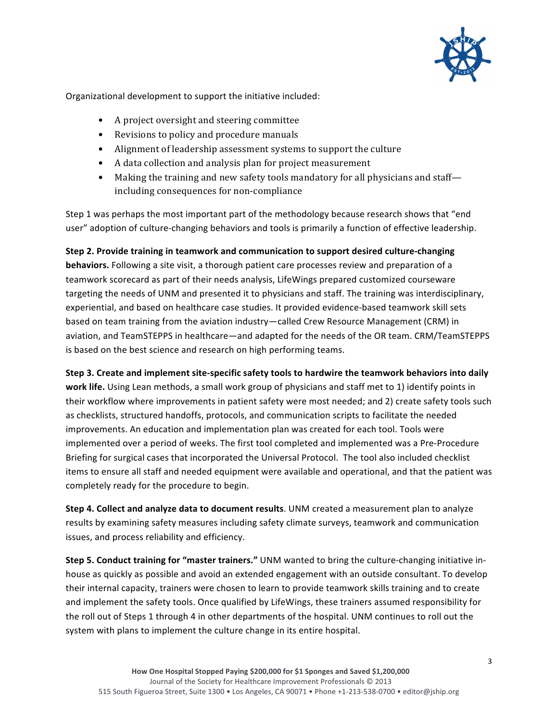

Organizational development to support the initiative included:

- A project oversight and steering committee
- Revisions to policy and procedure manuals
- Alignment of leadership assessment systems to support the culture
- A data collection and analysis plan for project measurement
- Making the training and new safety tools mandatory for all physicians and staff including consequences for non-compliance

Step 1 was perhaps the most important part of the methodology because research shows that "end user" adoption of culture-changing behaviors and tools is primarily a function of effective leadership.

# **Step 2. Provide training in teamwork and communication to support desired culture-changing**

**behaviors.** Following a site visit, a thorough patient care processes review and preparation of a teamwork scorecard as part of their needs analysis, LifeWings prepared customized courseware targeting the needs of UNM and presented it to physicians and staff. The training was interdisciplinary, experiential, and based on healthcare case studies. It provided evidence-based teamwork skill sets based on team training from the aviation industry—called Crew Resource Management (CRM) in aviation, and TeamSTEPPS in healthcare—and adapted for the needs of the OR team. CRM/TeamSTEPPS is based on the best science and research on high performing teams.

**Step 3. Create and implement site-specific safety tools to hardwire the teamwork behaviors into daily work life.** Using Lean methods, a small work group of physicians and staff met to 1) identify points in their workflow where improvements in patient safety were most needed; and 2) create safety tools such as checklists, structured handoffs, protocols, and communication scripts to facilitate the needed improvements. An education and implementation plan was created for each tool. Tools were implemented over a period of weeks. The first tool completed and implemented was a Pre-Procedure Briefing for surgical cases that incorporated the Universal Protocol. The tool also included checklist items to ensure all staff and needed equipment were available and operational, and that the patient was completely ready for the procedure to begin.

**Step 4. Collect and analyze data to document results**. UNM created a measurement plan to analyze results by examining safety measures including safety climate surveys, teamwork and communication issues, and process reliability and efficiency.

**Step 5. Conduct training for "master trainers."** UNM wanted to bring the culture-changing initiative inhouse as quickly as possible and avoid an extended engagement with an outside consultant. To develop their internal capacity, trainers were chosen to learn to provide teamwork skills training and to create and implement the safety tools. Once qualified by LifeWings, these trainers assumed responsibility for the roll out of Steps 1 through 4 in other departments of the hospital. UNM continues to roll out the system with plans to implement the culture change in its entire hospital.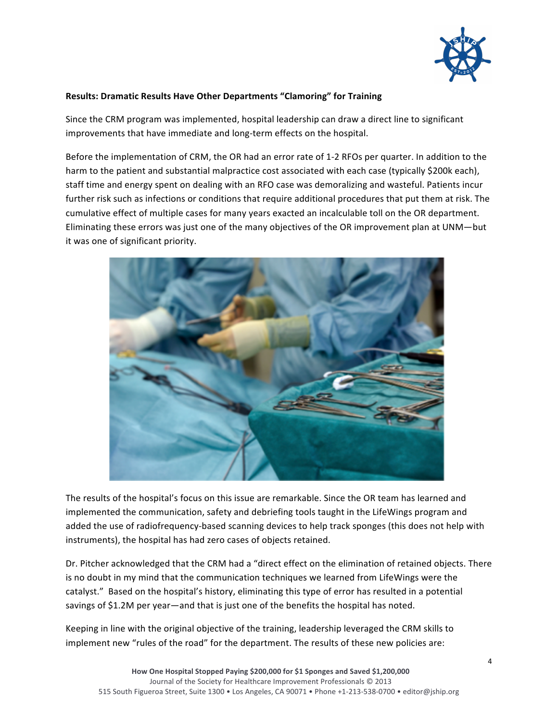

### **Results: Dramatic Results Have Other Departments "Clamoring" for Training**

Since the CRM program was implemented, hospital leadership can draw a direct line to significant improvements that have immediate and long-term effects on the hospital.

Before the implementation of CRM, the OR had an error rate of 1-2 RFOs per quarter. In addition to the harm to the patient and substantial malpractice cost associated with each case (typically \$200k each), staff time and energy spent on dealing with an RFO case was demoralizing and wasteful. Patients incur further risk such as infections or conditions that require additional procedures that put them at risk. The cumulative effect of multiple cases for many years exacted an incalculable toll on the OR department. Eliminating these errors was just one of the many objectives of the OR improvement plan at UNM—but it was one of significant priority.



The results of the hospital's focus on this issue are remarkable. Since the OR team has learned and implemented the communication, safety and debriefing tools taught in the LifeWings program and added the use of radiofrequency-based scanning devices to help track sponges (this does not help with instruments), the hospital has had zero cases of objects retained.

Dr. Pitcher acknowledged that the CRM had a "direct effect on the elimination of retained objects. There is no doubt in my mind that the communication techniques we learned from LifeWings were the catalyst." Based on the hospital's history, eliminating this type of error has resulted in a potential savings of \$1.2M per year—and that is just one of the benefits the hospital has noted.

Keeping in line with the original objective of the training, leadership leveraged the CRM skills to implement new "rules of the road" for the department. The results of these new policies are: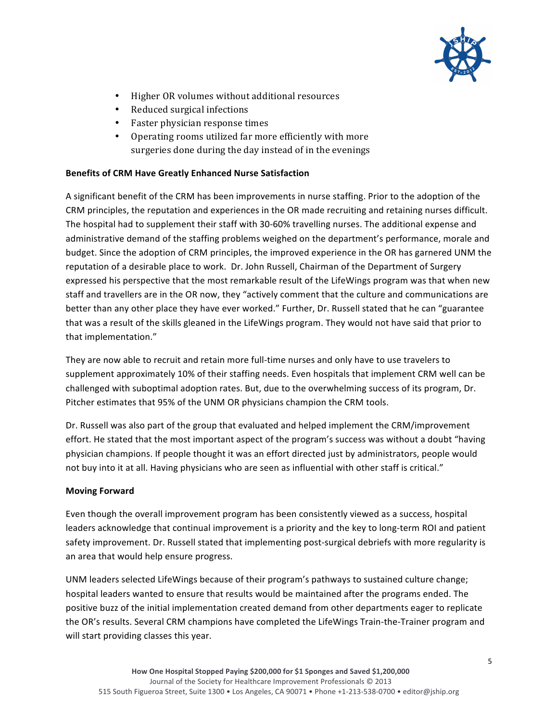

- Higher OR volumes without additional resources
- Reduced surgical infections
- Faster physician response times
- Operating rooms utilized far more efficiently with more surgeries done during the day instead of in the evenings

## **Benefits of CRM Have Greatly Enhanced Nurse Satisfaction**

A significant benefit of the CRM has been improvements in nurse staffing. Prior to the adoption of the CRM principles, the reputation and experiences in the OR made recruiting and retaining nurses difficult. The hospital had to supplement their staff with 30-60% travelling nurses. The additional expense and administrative demand of the staffing problems weighed on the department's performance, morale and budget. Since the adoption of CRM principles, the improved experience in the OR has garnered UNM the reputation of a desirable place to work. Dr. John Russell, Chairman of the Department of Surgery expressed his perspective that the most remarkable result of the LifeWings program was that when new staff and travellers are in the OR now, they "actively comment that the culture and communications are better than any other place they have ever worked." Further, Dr. Russell stated that he can "guarantee that was a result of the skills gleaned in the LifeWings program. They would not have said that prior to that implementation."

They are now able to recruit and retain more full-time nurses and only have to use travelers to supplement approximately 10% of their staffing needs. Even hospitals that implement CRM well can be challenged with suboptimal adoption rates. But, due to the overwhelming success of its program, Dr. Pitcher estimates that 95% of the UNM OR physicians champion the CRM tools.

Dr. Russell was also part of the group that evaluated and helped implement the CRM/improvement effort. He stated that the most important aspect of the program's success was without a doubt "having" physician champions. If people thought it was an effort directed just by administrators, people would not buy into it at all. Having physicians who are seen as influential with other staff is critical."

## **Moving!Forward**

Even though the overall improvement program has been consistently viewed as a success, hospital leaders acknowledge that continual improvement is a priority and the key to long-term ROI and patient safety improvement. Dr. Russell stated that implementing post-surgical debriefs with more regularity is an area that would help ensure progress.

UNM leaders selected LifeWings because of their program's pathways to sustained culture change; hospital leaders wanted to ensure that results would be maintained after the programs ended. The positive buzz of the initial implementation created demand from other departments eager to replicate the OR's results. Several CRM champions have completed the LifeWings Train-the-Trainer program and will start providing classes this year.